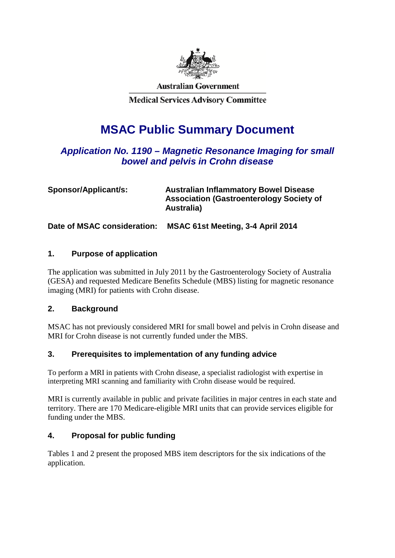

**Australian Government** 

**Medical Services Advisory Committee** 

# **MSAC Public Summary Document**

# *Application No. 1190 – Magnetic Resonance Imaging for small bowel and pelvis in Crohn disease*

| Sponsor/Applicant/s:        | <b>Australian Inflammatory Bowel Disease</b><br><b>Association (Gastroenterology Society of</b><br>Australia) |
|-----------------------------|---------------------------------------------------------------------------------------------------------------|
| Date of MSAC consideration: | MSAC 61st Meeting, 3-4 April 2014                                                                             |

## **1. Purpose of application**

The application was submitted in July 2011 by the Gastroenterology Society of Australia (GESA) and requested Medicare Benefits Schedule (MBS) listing for magnetic resonance imaging (MRI) for patients with Crohn disease.

## **2. Background**

MSAC has not previously considered MRI for small bowel and pelvis in Crohn disease and MRI for Crohn disease is not currently funded under the MBS.

## **3. Prerequisites to implementation of any funding advice**

To perform a MRI in patients with Crohn disease, a specialist radiologist with expertise in interpreting MRI scanning and familiarity with Crohn disease would be required.

MRI is currently available in public and private facilities in major centres in each state and territory. There are 170 Medicare-eligible MRI units that can provide services eligible for funding under the MBS.

## **4. Proposal for public funding**

Tables 1 and 2 present the proposed MBS item descriptors for the six indications of the application.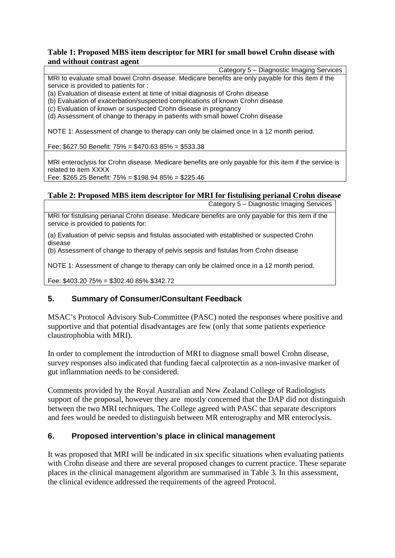#### **Table 1: Proposed MBS item descriptor for MRI for small bowel Crohn disease with and without contrast agent**

Category 5 – Diagnostic Imaging Services MRI to evaluate small bowel Crohn disease. Medicare benefits are only payable for this item if the service is provided to patients for :

(a) Evaluation of disease extent at time of initial diagnosis of Crohn disease

(b) Evaluation of exacerbation/suspected complications of known Crohn disease

(c) Evaluation of known or suspected Crohn disease in pregnancy

(d) Assessment of change to therapy in patients with small bowel Crohn disease

NOTE 1: Assessment of change to therapy can only be claimed once in a 12 month period.

Fee: \$627.50 Benefit: 75% = \$470.63 85% = \$533.38

MRI enteroclysis for Crohn disease. Medicare benefits are only payable for this item if the service is related to item XXXX

Fee: \$265.25 Benefit: 75% = \$198.94 85% = \$225.46

## **Table 2: Proposed MBS item descriptor for MRI for fistulising perianal Crohn disease**

Category 5 – Diagnostic Imaging Services

MRI for fistulising perianal Crohn disease. Medicare benefits are only payable for this item if the service is provided to patients for:

(a) Evaluation of pelvic sepsis and fistulas associated with established or suspected Crohn disease

(b) Assessment of change to therapy of pelvis sepsis and fistulas from Crohn disease

NOTE 1: Assessment of change to therapy can only be claimed once in a 12 month period.

Fee: \$403.20 75% = \$302.40 85% \$342.72

## **5. Summary of Consumer/Consultant Feedback**

MSAC's Protocol Advisory Sub-Committee (PASC) noted the responses where positive and supportive and that potential disadvantages are few (only that some patients experience claustrophobia with MRI).

In order to complement the introduction of MRI to diagnose small bowel Crohn disease, survey responses also indicated that funding faecal calprotectin as a non-invasive marker of gut inflammation needs to be considered.

Comments provided by the Royal Australian and New Zealand College of Radiologists support of the proposal, however they are mostly concerned that the DAP did not distinguish between the two MRI techniques. The College agreed with PASC that separate descriptors and fees would be needed to distinguish between MR enterography and MR enteroclysis.

## **6. Proposed intervention's place in clinical management**

It was proposed that MRI will be indicated in six specific situations when evaluating patients with Crohn disease and there are several proposed changes to current practice. These separate places in the clinical management algorithm are summarised in Table 3. In this assessment, the clinical evidence addressed the requirements of the agreed Protocol.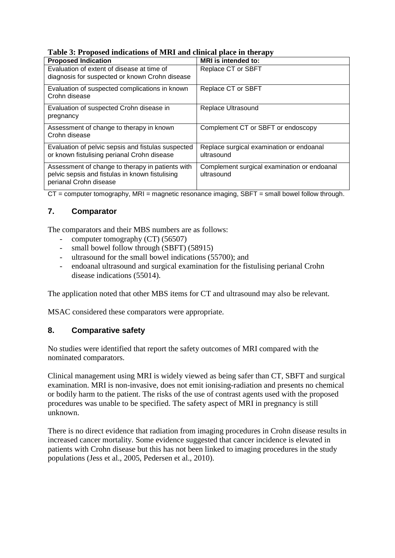| $  \mathbf{r}$ $\mathbf{r}$                                     |                                             |  |  |
|-----------------------------------------------------------------|---------------------------------------------|--|--|
| <b>Proposed Indication</b>                                      | <b>MRI</b> is intended to:                  |  |  |
| Evaluation of extent of disease at time of                      | Replace CT or SBFT                          |  |  |
| diagnosis for suspected or known Crohn disease                  |                                             |  |  |
| Evaluation of suspected complications in known<br>Crohn disease | Replace CT or SBFT                          |  |  |
| Evaluation of suspected Crohn disease in                        | Replace Ultrasound                          |  |  |
| pregnancy                                                       |                                             |  |  |
| Assessment of change to therapy in known                        | Complement CT or SBFT or endoscopy          |  |  |
| Crohn disease                                                   |                                             |  |  |
| Evaluation of pelvic sepsis and fistulas suspected              | Replace surgical examination or endoanal    |  |  |
| or known fistulising perianal Crohn disease                     | ultrasound                                  |  |  |
| Assessment of change to therapy in patients with                | Complement surgical examination or endoanal |  |  |
| pelvic sepsis and fistulas in known fistulising                 | ultrasound                                  |  |  |
| perianal Crohn disease                                          |                                             |  |  |

 $CT =$  computer tomography, MRI = magnetic resonance imaging, SBFT = small bowel follow through.

# **7. Comparator**

The comparators and their MBS numbers are as follows:

- computer tomography (CT) (56507)
- small bowel follow through (SBFT) (58915)
- ultrasound for the small bowel indications (55700); and
- endoanal ultrasound and surgical examination for the fistulising perianal Crohn disease indications (55014).

The application noted that other MBS items for CT and ultrasound may also be relevant.

MSAC considered these comparators were appropriate.

# **8. Comparative safety**

No studies were identified that report the safety outcomes of MRI compared with the nominated comparators.

Clinical management using MRI is widely viewed as being safer than CT, SBFT and surgical examination. MRI is non-invasive, does not emit ionising-radiation and presents no chemical or bodily harm to the patient. The risks of the use of contrast agents used with the proposed procedures was unable to be specified. The safety aspect of MRI in pregnancy is still unknown.

There is no direct evidence that radiation from imaging procedures in Crohn disease results in increased cancer mortality. Some evidence suggested that cancer incidence is elevated in patients with Crohn disease but this has not been linked to imaging procedures in the study populations (Jess et al., 2005, Pedersen et al., 2010).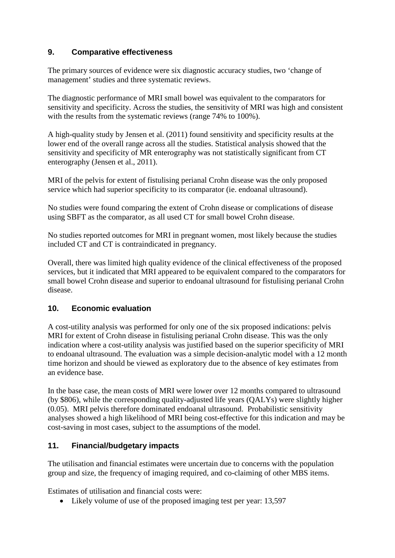## **9. Comparative effectiveness**

The primary sources of evidence were six diagnostic accuracy studies, two 'change of management' studies and three systematic reviews.

The diagnostic performance of MRI small bowel was equivalent to the comparators for sensitivity and specificity. Across the studies, the sensitivity of MRI was high and consistent with the results from the systematic reviews (range 74% to 100%).

A high-quality study by Jensen et al. (2011) found sensitivity and specificity results at the lower end of the overall range across all the studies. Statistical analysis showed that the sensitivity and specificity of MR enterography was not statistically significant from CT enterography (Jensen et al., 2011).

MRI of the pelvis for extent of fistulising perianal Crohn disease was the only proposed service which had superior specificity to its comparator (ie. endoanal ultrasound).

No studies were found comparing the extent of Crohn disease or complications of disease using SBFT as the comparator, as all used CT for small bowel Crohn disease.

No studies reported outcomes for MRI in pregnant women, most likely because the studies included CT and CT is contraindicated in pregnancy.

Overall, there was limited high quality evidence of the clinical effectiveness of the proposed services, but it indicated that MRI appeared to be equivalent compared to the comparators for small bowel Crohn disease and superior to endoanal ultrasound for fistulising perianal Crohn disease.

## **10. Economic evaluation**

A cost-utility analysis was performed for only one of the six proposed indications: pelvis MRI for extent of Crohn disease in fistulising perianal Crohn disease. This was the only indication where a cost-utility analysis was justified based on the superior specificity of MRI to endoanal ultrasound. The evaluation was a simple decision-analytic model with a 12 month time horizon and should be viewed as exploratory due to the absence of key estimates from an evidence base.

In the base case, the mean costs of MRI were lower over 12 months compared to ultrasound (by \$806), while the corresponding quality-adjusted life years (QALYs) were slightly higher (0.05). MRI pelvis therefore dominated endoanal ultrasound. Probabilistic sensitivity analyses showed a high likelihood of MRI being cost-effective for this indication and may be cost-saving in most cases, subject to the assumptions of the model.

## **11. Financial/budgetary impacts**

The utilisation and financial estimates were uncertain due to concerns with the population group and size, the frequency of imaging required, and co-claiming of other MBS items.

Estimates of utilisation and financial costs were:

• Likely volume of use of the proposed imaging test per year: 13,597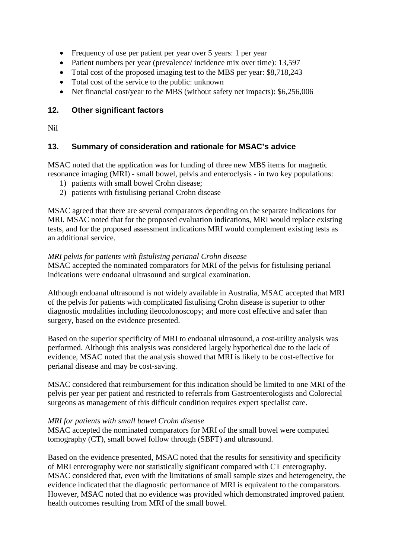- Frequency of use per patient per year over 5 years: 1 per year
- Patient numbers per year (prevalence/ incidence mix over time): 13,597
- Total cost of the proposed imaging test to the MBS per year: \$8,718,243
- Total cost of the service to the public: unknown
- Net financial cost/year to the MBS (without safety net impacts): \$6,256,006

## **12. Other significant factors**

Nil

## **13. Summary of consideration and rationale for MSAC's advice**

MSAC noted that the application was for funding of three new MBS items for magnetic resonance imaging (MRI) - small bowel, pelvis and enteroclysis - in two key populations:

- 1) patients with small bowel Crohn disease;
- 2) patients with fistulising perianal Crohn disease

MSAC agreed that there are several comparators depending on the separate indications for MRI. MSAC noted that for the proposed evaluation indications, MRI would replace existing tests, and for the proposed assessment indications MRI would complement existing tests as an additional service.

#### *MRI pelvis for patients with fistulising perianal Crohn disease*

MSAC accepted the nominated comparators for MRI of the pelvis for fistulising perianal indications were endoanal ultrasound and surgical examination.

Although endoanal ultrasound is not widely available in Australia, MSAC accepted that MRI of the pelvis for patients with complicated fistulising Crohn disease is superior to other diagnostic modalities including ileocolonoscopy; and more cost effective and safer than surgery, based on the evidence presented.

Based on the superior specificity of MRI to endoanal ultrasound, a cost-utility analysis was performed. Although this analysis was considered largely hypothetical due to the lack of evidence, MSAC noted that the analysis showed that MRI is likely to be cost-effective for perianal disease and may be cost-saving.

MSAC considered that reimbursement for this indication should be limited to one MRI of the pelvis per year per patient and restricted to referrals from Gastroenterologists and Colorectal surgeons as management of this difficult condition requires expert specialist care.

#### *MRI for patients with small bowel Crohn disease*

MSAC accepted the nominated comparators for MRI of the small bowel were computed tomography (CT), small bowel follow through (SBFT) and ultrasound.

Based on the evidence presented, MSAC noted that the results for sensitivity and specificity of MRI enterography were not statistically significant compared with CT enterography. MSAC considered that, even with the limitations of small sample sizes and heterogeneity, the evidence indicated that the diagnostic performance of MRI is equivalent to the comparators. However, MSAC noted that no evidence was provided which demonstrated improved patient health outcomes resulting from MRI of the small bowel.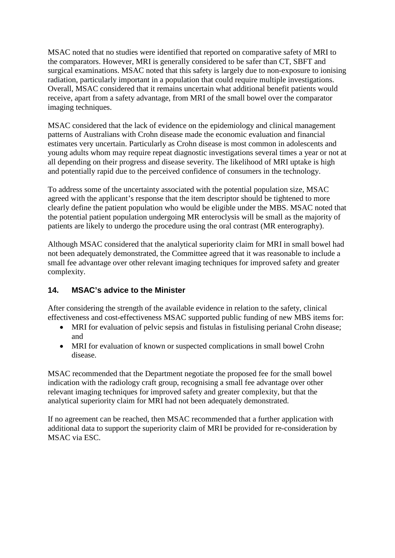MSAC noted that no studies were identified that reported on comparative safety of MRI to the comparators. However, MRI is generally considered to be safer than CT, SBFT and surgical examinations. MSAC noted that this safety is largely due to non-exposure to ionising radiation, particularly important in a population that could require multiple investigations. Overall, MSAC considered that it remains uncertain what additional benefit patients would receive, apart from a safety advantage, from MRI of the small bowel over the comparator imaging techniques.

MSAC considered that the lack of evidence on the epidemiology and clinical management patterns of Australians with Crohn disease made the economic evaluation and financial estimates very uncertain. Particularly as Crohn disease is most common in adolescents and young adults whom may require repeat diagnostic investigations several times a year or not at all depending on their progress and disease severity. The likelihood of MRI uptake is high and potentially rapid due to the perceived confidence of consumers in the technology.

To address some of the uncertainty associated with the potential population size, MSAC agreed with the applicant's response that the item descriptor should be tightened to more clearly define the patient population who would be eligible under the MBS. MSAC noted that the potential patient population undergoing MR enteroclysis will be small as the majority of patients are likely to undergo the procedure using the oral contrast (MR enterography).

Although MSAC considered that the analytical superiority claim for MRI in small bowel had not been adequately demonstrated, the Committee agreed that it was reasonable to include a small fee advantage over other relevant imaging techniques for improved safety and greater complexity.

## **14. MSAC's advice to the Minister**

After considering the strength of the available evidence in relation to the safety, clinical effectiveness and cost-effectiveness MSAC supported public funding of new MBS items for:

- MRI for evaluation of pelvic sepsis and fistulas in fistulising perianal Crohn disease; and
- MRI for evaluation of known or suspected complications in small bowel Crohn disease.

MSAC recommended that the Department negotiate the proposed fee for the small bowel indication with the radiology craft group, recognising a small fee advantage over other relevant imaging techniques for improved safety and greater complexity, but that the analytical superiority claim for MRI had not been adequately demonstrated.

If no agreement can be reached, then MSAC recommended that a further application with additional data to support the superiority claim of MRI be provided for re-consideration by MSAC via ESC.